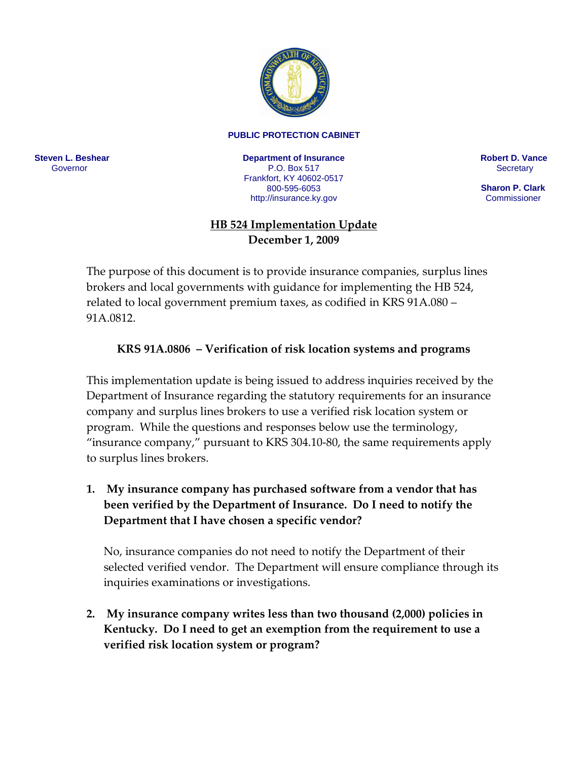

## **PUBLIC PROTECTION CABINET**

**Steven L. Beshear** Governor

**Department of Insurance** P.O. Box 517 Frankfort, KY 40602-0517 800-595-6053 <http://insurance.ky.gov>

**Robert D. Vance Secretary** 

 **Sharon P. Clark Commissioner** 

## **HB 524 Implementation Update December 1, 2009**

The purpose of this document is to provide insurance companies, surplus lines brokers and local governments with guidance for implementing the HB 524, related to local government premium taxes, as codified in KRS 91A.080 – 91A.0812.

## **KRS 91A.0806 – Verification of risk location systems and programs**

This implementation update is being issued to address inquiries received by the Department of Insurance regarding the statutory requirements for an insurance company and surplus lines brokers to use a verified risk location system or program. While the questions and responses below use the terminology, "insurance company," pursuant to KRS 304.10-80, the same requirements apply to surplus lines brokers.

**1. My insurance company has purchased software from a vendor that has been verified by the Department of Insurance. Do I need to notify the Department that I have chosen a specific vendor?**

No, insurance companies do not need to notify the Department of their selected verified vendor. The Department will ensure compliance through its inquiries examinations or investigations.

**2. My insurance company writes less than two thousand (2,000) policies in Kentucky. Do I need to get an exemption from the requirement to use a verified risk location system or program?**